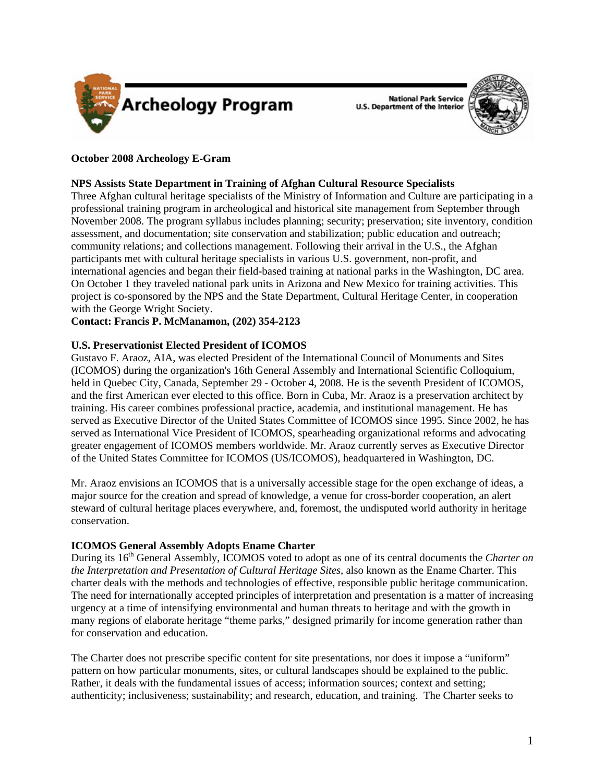

**National Park Service U.S. Department of the Interior** 



# **October 2008 Archeology E-Gram**

## **NPS Assists State Department in Training of Afghan Cultural Resource Specialists**

Three Afghan cultural heritage specialists of the Ministry of Information and Culture are participating in a professional training program in archeological and historical site management from September through November 2008. The program syllabus includes planning; security; preservation; site inventory, condition assessment, and documentation; site conservation and stabilization; public education and outreach; community relations; and collections management. Following their arrival in the U.S., the Afghan participants met with cultural heritage specialists in various U.S. government, non-profit, and international agencies and began their field-based training at national parks in the Washington, DC area. On October 1 they traveled national park units in Arizona and New Mexico for training activities. This project is co-sponsored by the NPS and the State Department, Cultural Heritage Center, in cooperation with the George Wright Society.

## **Contact: Francis P. McManamon, (202) 354-2123**

# **U.S. Preservationist Elected President of ICOMOS**

Gustavo F. Araoz, AIA, was elected President of the International Council of Monuments and Sites (ICOMOS) during the organization's 16th General Assembly and International Scientific Colloquium, held in Quebec City, Canada, September 29 - October 4, 2008. He is the seventh President of ICOMOS, and the first American ever elected to this office. Born in Cuba, Mr. Araoz is a preservation architect by training. His career combines professional practice, academia, and institutional management. He has served as Executive Director of the United States Committee of ICOMOS since 1995. Since 2002, he has served as International Vice President of ICOMOS, spearheading organizational reforms and advocating greater engagement of ICOMOS members worldwide. Mr. Araoz currently serves as Executive Director of the United States Committee for ICOMOS (US/ICOMOS), headquartered in Washington, DC.

Mr. Araoz envisions an ICOMOS that is a universally accessible stage for the open exchange of ideas, a major source for the creation and spread of knowledge, a venue for cross-border cooperation, an alert steward of cultural heritage places everywhere, and, foremost, the undisputed world authority in heritage conservation.

# **ICOMOS General Assembly Adopts Ename Charter**

During its 16th General Assembly, ICOMOS voted to adopt as one of its central documents the *Charter on the Interpretation and Presentation of Cultural Heritage Sites*, also known as the Ename Charter. This charter deals with the methods and technologies of effective, responsible public heritage communication. The need for internationally accepted principles of interpretation and presentation is a matter of increasing urgency at a time of intensifying environmental and human threats to heritage and with the growth in many regions of elaborate heritage "theme parks," designed primarily for income generation rather than for conservation and education.

The Charter does not prescribe specific content for site presentations, nor does it impose a "uniform" pattern on how particular monuments, sites, or cultural landscapes should be explained to the public. Rather, it deals with the fundamental issues of access; information sources; context and setting; authenticity; inclusiveness; sustainability; and research, education, and training. The Charter seeks to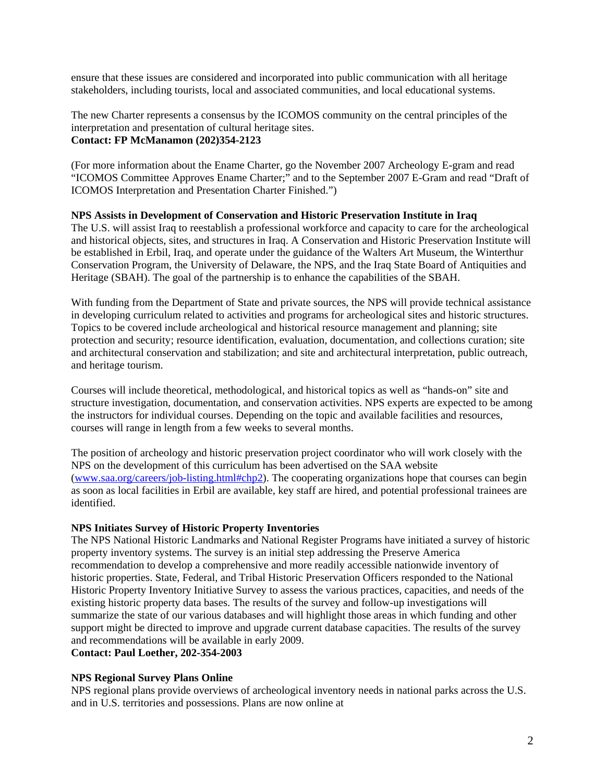ensure that these issues are considered and incorporated into public communication with all heritage stakeholders, including tourists, local and associated communities, and local educational systems.

The new Charter represents a consensus by the ICOMOS community on the central principles of the interpretation and presentation of cultural heritage sites. **Contact: FP McManamon (202)354-2123** 

(For more information about the Ename Charter, go the November 2007 Archeology E-gram and read "ICOMOS Committee Approves Ename Charter;" and to the September 2007 E-Gram and read "Draft of ICOMOS Interpretation and Presentation Charter Finished.")

#### **NPS Assists in Development of Conservation and Historic Preservation Institute in Iraq**

The U.S. will assist Iraq to reestablish a professional workforce and capacity to care for the archeological and historical objects, sites, and structures in Iraq. A Conservation and Historic Preservation Institute will be established in Erbil, Iraq, and operate under the guidance of the Walters Art Museum, the Winterthur Conservation Program, the University of Delaware, the NPS, and the Iraq State Board of Antiquities and Heritage (SBAH). The goal of the partnership is to enhance the capabilities of the SBAH.

With funding from the Department of State and private sources, the NPS will provide technical assistance in developing curriculum related to activities and programs for archeological sites and historic structures. Topics to be covered include archeological and historical resource management and planning; site protection and security; resource identification, evaluation, documentation, and collections curation; site and architectural conservation and stabilization; and site and architectural interpretation, public outreach, and heritage tourism.

Courses will include theoretical, methodological, and historical topics as well as "hands-on" site and structure investigation, documentation, and conservation activities. NPS experts are expected to be among the instructors for individual courses. Depending on the topic and available facilities and resources, courses will range in length from a few weeks to several months.

The position of archeology and historic preservation project coordinator who will work closely with the NPS on the development of this curriculum has been advertised on the SAA website (<www.saa.org/careers/job-listing.html#chp2>). The cooperating organizations hope that courses can begin as soon as local facilities in Erbil are available, key staff are hired, and potential professional trainees are identified.

#### **NPS Initiates Survey of Historic Property Inventories**

The NPS National Historic Landmarks and National Register Programs have initiated a survey of historic property inventory systems. The survey is an initial step addressing the Preserve America recommendation to develop a comprehensive and more readily accessible nationwide inventory of historic properties. State, Federal, and Tribal Historic Preservation Officers responded to the National Historic Property Inventory Initiative Survey to assess the various practices, capacities, and needs of the existing historic property data bases. The results of the survey and follow-up investigations will summarize the state of our various databases and will highlight those areas in which funding and other support might be directed to improve and upgrade current database capacities. The results of the survey and recommendations will be available in early 2009. **Contact: Paul Loether, 202-354-2003** 

#### **NPS Regional Survey Plans Online**

NPS regional plans provide overviews of archeological inventory needs in national parks across the U.S. and in U.S. territories and possessions. Plans are now online at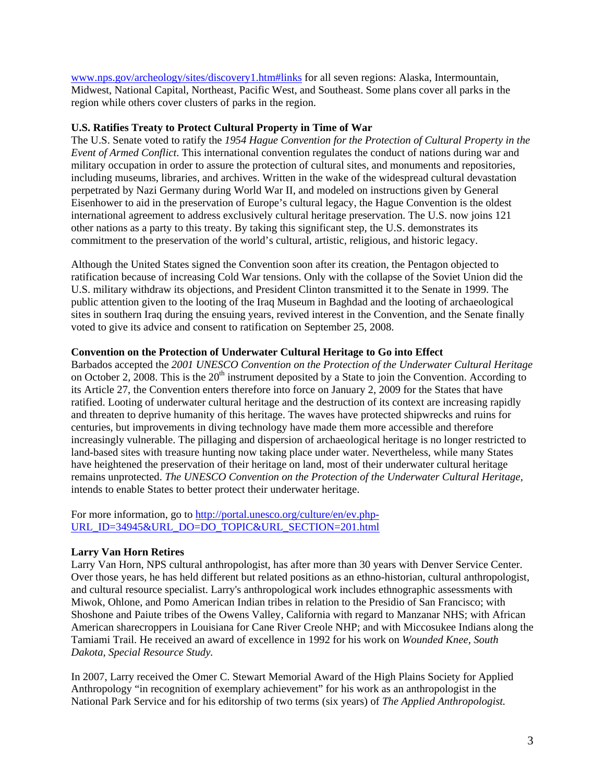<www.nps.gov/archeology/sites/discovery1.htm#links>for all seven regions: Alaska, Intermountain, Midwest, National Capital, Northeast, Pacific West, and Southeast. Some plans cover all parks in the region while others cover clusters of parks in the region.

## **U.S. Ratifies Treaty to Protect Cultural Property in Time of War**

The U.S. Senate voted to ratify the *1954 Hague Convention for the Protection of Cultural Property in the Event of Armed Conflict*. This international convention regulates the conduct of nations during war and military occupation in order to assure the protection of cultural sites, and monuments and repositories, including museums, libraries, and archives. Written in the wake of the widespread cultural devastation perpetrated by Nazi Germany during World War II, and modeled on instructions given by General Eisenhower to aid in the preservation of Europe's cultural legacy, the Hague Convention is the oldest international agreement to address exclusively cultural heritage preservation. The U.S. now joins 121 other nations as a party to this treaty. By taking this significant step, the U.S. demonstrates its commitment to the preservation of the world's cultural, artistic, religious, and historic legacy.

Although the United States signed the Convention soon after its creation, the Pentagon objected to ratification because of increasing Cold War tensions. Only with the collapse of the Soviet Union did the U.S. military withdraw its objections, and President Clinton transmitted it to the Senate in 1999. The public attention given to the looting of the Iraq Museum in Baghdad and the looting of archaeological sites in southern Iraq during the ensuing years, revived interest in the Convention, and the Senate finally voted to give its advice and consent to ratification on September 25, 2008.

#### **Convention on the Protection of Underwater Cultural Heritage to Go into Effect**

Barbados accepted the *2001 UNESCO Convention on the Protection of the Underwater Cultural Heritage* on October 2, 2008. This is the  $20<sup>th</sup>$  instrument deposited by a State to join the Convention. According to its Article 27, the Convention enters therefore into force on January 2, 2009 for the States that have ratified. Looting of underwater cultural heritage and the destruction of its context are increasing rapidly and threaten to deprive humanity of this heritage. The waves have protected shipwrecks and ruins for centuries, but improvements in diving technology have made them more accessible and therefore increasingly vulnerable. The pillaging and dispersion of archaeological heritage is no longer restricted to land-based sites with treasure hunting now taking place under water. Nevertheless, while many States have heightened the preservation of their heritage on land, most of their underwater cultural heritage remains unprotected. *The UNESCO Convention on the Protection of the Underwater Cultural Heritage,* intends to enable States to better protect their underwater heritage.

For more information, go to http://portal.unesco.org/culture/en/ev.php-[URL\\_ID=34945&URL\\_DO=DO\\_TOPIC&URL\\_SECTION=201.html](http://portal.unesco.org/culture/en/ev.php-URL_ID=34945&URL_DO=DO_TOPIC&URL_SECTION=201.html)

## **Larry Van Horn Retires**

Larry Van Horn, NPS cultural anthropologist, has after more than 30 years with Denver Service Center. Over those years, he has held different but related positions as an ethno-historian, cultural anthropologist, and cultural resource specialist. Larry's anthropological work includes ethnographic assessments with Miwok, Ohlone, and Pomo American Indian tribes in relation to the Presidio of San Francisco; with Shoshone and Paiute tribes of the Owens Valley, California with regard to Manzanar NHS; with African American sharecroppers in Louisiana for Cane River Creole NHP; and with Miccosukee Indians along the Tamiami Trail. He received an award of excellence in 1992 for his work on *Wounded Knee, South Dakota, Special Resource Study.*

In 2007, Larry received the Omer C. Stewart Memorial Award of the High Plains Society for Applied Anthropology "in recognition of exemplary achievement" for his work as an anthropologist in the National Park Service and for his editorship of two terms (six years) of *The Applied Anthropologist.*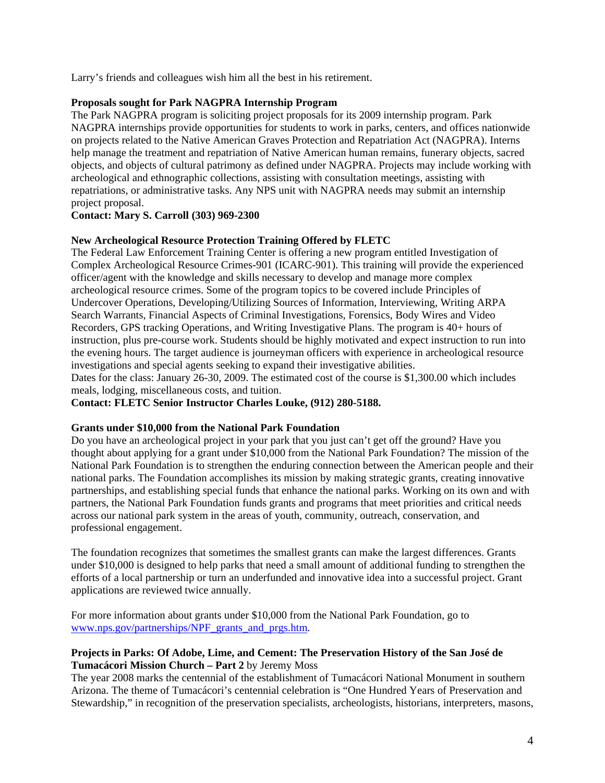Larry's friends and colleagues wish him all the best in his retirement.

## **Proposals sought for Park NAGPRA Internship Program**

The Park NAGPRA program is soliciting project proposals for its 2009 internship program. Park NAGPRA internships provide opportunities for students to work in parks, centers, and offices nationwide on projects related to the Native American Graves Protection and Repatriation Act (NAGPRA). Interns help manage the treatment and repatriation of Native American human remains, funerary objects, sacred objects, and objects of cultural patrimony as defined under NAGPRA. Projects may include working with archeological and ethnographic collections, assisting with consultation meetings, assisting with repatriations, or administrative tasks. Any NPS unit with NAGPRA needs may submit an internship project proposal.

## **Contact: Mary S. Carroll (303) 969-2300**

#### **New Archeological Resource Protection Training Offered by FLETC**

The Federal Law Enforcement Training Center is offering a new program entitled Investigation of Complex Archeological Resource Crimes-901 (ICARC-901). This training will provide the experienced officer/agent with the knowledge and skills necessary to develop and manage more complex archeological resource crimes. Some of the program topics to be covered include Principles of Undercover Operations, Developing/Utilizing Sources of Information, Interviewing, Writing ARPA Search Warrants, Financial Aspects of Criminal Investigations, Forensics, Body Wires and Video Recorders, GPS tracking Operations, and Writing Investigative Plans. The program is 40+ hours of instruction, plus pre-course work. Students should be highly motivated and expect instruction to run into the evening hours. The target audience is journeyman officers with experience in archeological resource investigations and special agents seeking to expand their investigative abilities.

Dates for the class: January 26-30, 2009. The estimated cost of the course is \$1,300.00 which includes meals, lodging, miscellaneous costs, and tuition.

**Contact: FLETC Senior Instructor Charles Louke, (912) 280-5188.** 

#### **Grants under \$10,000 from the National Park Foundation**

Do you have an archeological project in your park that you just can't get off the ground? Have you thought about applying for a grant under \$10,000 from the National Park Foundation? The mission of the National Park Foundation is to strengthen the enduring connection between the American people and their national parks. The Foundation accomplishes its mission by making strategic grants, creating innovative partnerships, and establishing special funds that enhance the national parks. Working on its own and with partners, the National Park Foundation funds grants and programs that meet priorities and critical needs across our national park system in the areas of youth, community, outreach, conservation, and professional engagement.

The foundation recognizes that sometimes the smallest grants can make the largest differences. Grants under \$10,000 is designed to help parks that need a small amount of additional funding to strengthen the efforts of a local partnership or turn an underfunded and innovative idea into a successful project. Grant applications are reviewed twice annually.

For more information about grants under \$10,000 from the National Park Foundation, go to [www.nps.gov/partnerships/NPF\\_grants\\_and\\_prgs.htm](www.nps.gov/partnerships/NPF_grants_and_prgs.htm).

# **Projects in Parks: Of Adobe, Lime, and Cement: The Preservation History of the San José de Tumacácori Mission Church – Part 2** by Jeremy Moss

The year 2008 marks the centennial of the establishment of Tumacácori National Monument in southern Arizona. The theme of Tumacácori's centennial celebration is "One Hundred Years of Preservation and Stewardship," in recognition of the preservation specialists, archeologists, historians, interpreters, masons,